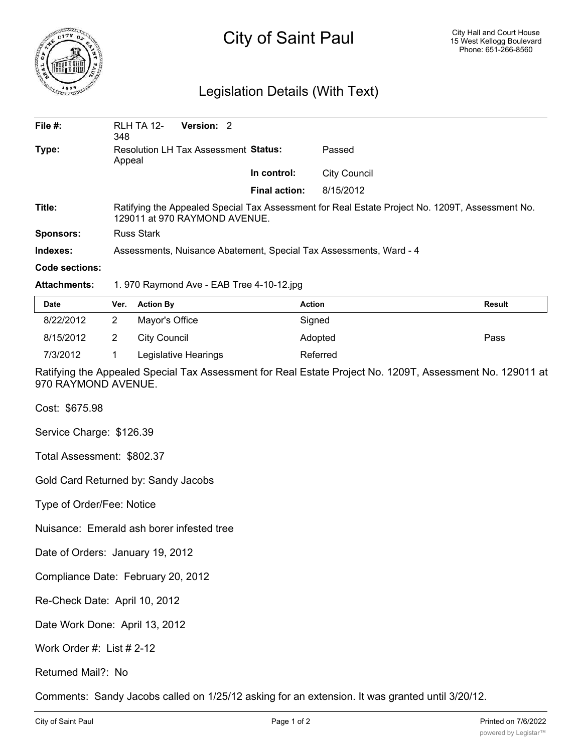

## City of Saint Paul

## Legislation Details (With Text)

| File $#$ :          | RLH TA 12-<br>348                                                                                                                | <b>Version: 2</b> |  |                      |                     |  |  |
|---------------------|----------------------------------------------------------------------------------------------------------------------------------|-------------------|--|----------------------|---------------------|--|--|
| Type:               | <b>Resolution LH Tax Assessment Status:</b><br>Appeal                                                                            |                   |  | Passed               |                     |  |  |
|                     |                                                                                                                                  |                   |  | In control:          | <b>City Council</b> |  |  |
|                     |                                                                                                                                  |                   |  | <b>Final action:</b> | 8/15/2012           |  |  |
| Title:              | Ratifying the Appealed Special Tax Assessment for Real Estate Project No. 1209T, Assessment No.<br>129011 at 970 RAYMOND AVENUE. |                   |  |                      |                     |  |  |
| <b>Sponsors:</b>    | <b>Russ Stark</b>                                                                                                                |                   |  |                      |                     |  |  |
| Indexes:            | Assessments, Nuisance Abatement, Special Tax Assessments, Ward - 4                                                               |                   |  |                      |                     |  |  |
| Code sections:      |                                                                                                                                  |                   |  |                      |                     |  |  |
| <b>Attachments:</b> | 1.970 Raymond Ave - EAB Tree 4-10-12.jpg                                                                                         |                   |  |                      |                     |  |  |

| <b>Date</b> | Ver. Action By       | <b>Action</b> | <b>Result</b> |
|-------------|----------------------|---------------|---------------|
| 8/22/2012   | Mayor's Office       | Signed        |               |
| 8/15/2012   | City Council         | Adopted       | Pass          |
| 7/3/2012    | Legislative Hearings | Referred      |               |

Ratifying the Appealed Special Tax Assessment for Real Estate Project No. 1209T, Assessment No. 129011 at 970 RAYMOND AVENUE.

Cost: \$675.98

Service Charge: \$126.39

Total Assessment: \$802.37

Gold Card Returned by: Sandy Jacobs

Type of Order/Fee: Notice

Nuisance: Emerald ash borer infested tree

Date of Orders: January 19, 2012

Compliance Date: February 20, 2012

Re-Check Date: April 10, 2012

Date Work Done: April 13, 2012

Work Order #: List # 2-12

## Returned Mail?: No

Comments: Sandy Jacobs called on 1/25/12 asking for an extension. It was granted until 3/20/12.